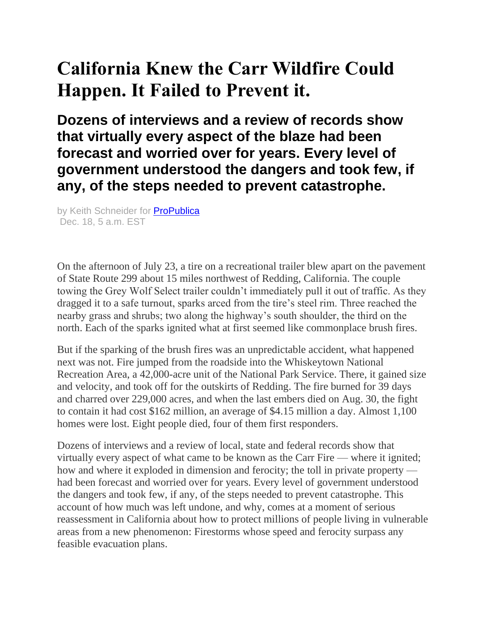# **California Knew the Carr Wildfire Could Happen. It Failed to Prevent it.**

**Dozens of interviews and a review of records show that virtually every aspect of the blaze had been forecast and worried over for years. Every level of government understood the dangers and took few, if any, of the steps needed to prevent catastrophe.**

by Keith Schneider for **[ProPublica](https://www.propublica.org/)** Dec. 18, 5 a.m. EST

On the afternoon of July 23, a tire on a recreational trailer blew apart on the pavement of State Route 299 about 15 miles northwest of Redding, California. The couple towing the Grey Wolf Select trailer couldn't immediately pull it out of traffic. As they dragged it to a safe turnout, sparks arced from the tire's steel rim. Three reached the nearby grass and shrubs; two along the highway's south shoulder, the third on the north. Each of the sparks ignited what at first seemed like commonplace brush fires.

But if the sparking of the brush fires was an unpredictable accident, what happened next was not. Fire jumped from the roadside into the Whiskeytown National Recreation Area, a 42,000-acre unit of the National Park Service. There, it gained size and velocity, and took off for the outskirts of Redding. The fire burned for 39 days and charred over 229,000 acres, and when the last embers died on Aug. 30, the fight to contain it had cost \$162 million, an average of \$4.15 million a day. Almost 1,100 homes were lost. Eight people died, four of them first responders.

Dozens of interviews and a review of local, state and federal records show that virtually every aspect of what came to be known as the Carr Fire — where it ignited; how and where it exploded in dimension and ferocity; the toll in private property had been forecast and worried over for years. Every level of government understood the dangers and took few, if any, of the steps needed to prevent catastrophe. This account of how much was left undone, and why, comes at a moment of serious reassessment in California about how to protect millions of people living in vulnerable areas from a new phenomenon: Firestorms whose speed and ferocity surpass any feasible evacuation plans.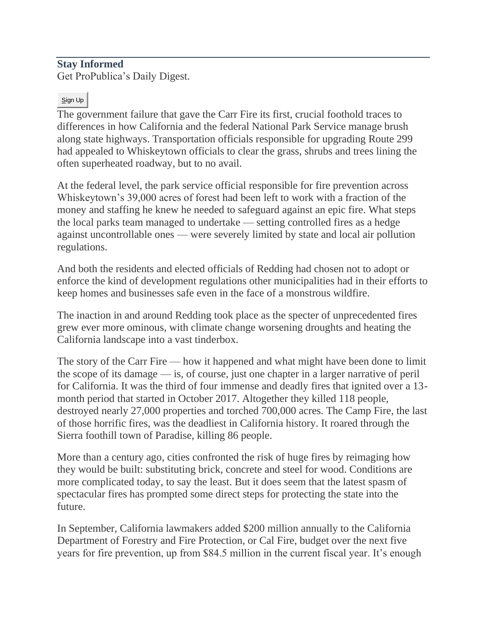## **Stay Informed**

Get ProPublica's Daily Digest.

#### Sign Up

The government failure that gave the Carr Fire its first, crucial foothold traces to differences in how California and the federal National Park Service manage brush along state highways. Transportation officials responsible for upgrading Route 299 had appealed to Whiskeytown officials to clear the grass, shrubs and trees lining the often superheated roadway, but to no avail.

At the federal level, the park service official responsible for fire prevention across Whiskeytown's 39,000 acres of forest had been left to work with a fraction of the money and staffing he knew he needed to safeguard against an epic fire. What steps the local parks team managed to undertake — setting controlled fires as a hedge against uncontrollable ones — were severely limited by state and local air pollution regulations.

And both the residents and elected officials of Redding had chosen not to adopt or enforce the kind of development regulations other municipalities had in their efforts to keep homes and businesses safe even in the face of a monstrous wildfire.

The inaction in and around Redding took place as the specter of unprecedented fires grew ever more ominous, with climate change worsening droughts and heating the California landscape into a vast tinderbox.

The story of the Carr Fire — how it happened and what might have been done to limit the scope of its damage — is, of course, just one chapter in a larger narrative of peril for California. It was the third of four immense and deadly fires that ignited over a 13 month period that started in October 2017. Altogether they killed 118 people, destroyed nearly 27,000 properties and torched 700,000 acres. The Camp Fire, the last of those horrific fires, was the deadliest in California history. It roared through the Sierra foothill town of Paradise, killing 86 people.

More than a century ago, cities confronted the risk of huge fires by reimaging how they would be built: substituting brick, concrete and steel for wood. Conditions are more complicated today, to say the least. But it does seem that the latest spasm of spectacular fires has prompted some direct steps for protecting the state into the future.

In September, California lawmakers added \$200 million annually to the California Department of Forestry and Fire Protection, or Cal Fire, budget over the next five years for fire prevention, up from \$84.5 million in the current fiscal year. It's enough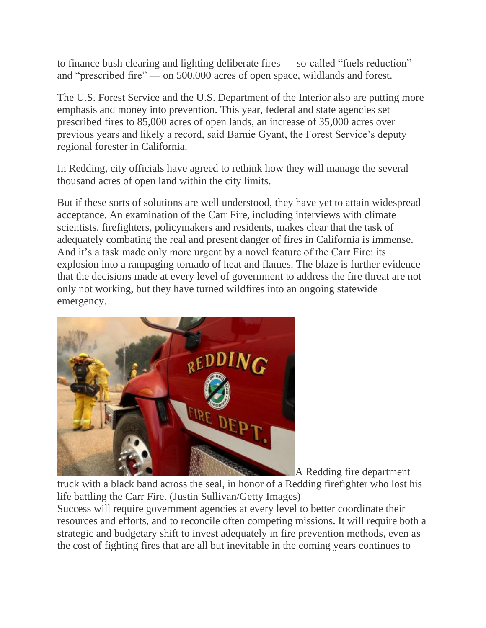to finance bush clearing and lighting deliberate fires — so-called "fuels reduction" and "prescribed fire" — on 500,000 acres of open space, wildlands and forest.

The U.S. Forest Service and the U.S. Department of the Interior also are putting more emphasis and money into prevention. This year, federal and state agencies set prescribed fires to 85,000 acres of open lands, an increase of 35,000 acres over previous years and likely a record, said Barnie Gyant, the Forest Service's deputy regional forester in California.

In Redding, city officials have agreed to rethink how they will manage the several thousand acres of open land within the city limits.

But if these sorts of solutions are well understood, they have yet to attain widespread acceptance. An examination of the Carr Fire, including interviews with climate scientists, firefighters, policymakers and residents, makes clear that the task of adequately combating the real and present danger of fires in California is immense. And it's a task made only more urgent by a novel feature of the Carr Fire: its explosion into a rampaging tornado of heat and flames. The blaze is further evidence that the decisions made at every level of government to address the fire threat are not only not working, but they have turned wildfires into an ongoing statewide emergency.



A Redding fire department

truck with a black band across the seal, in honor of a Redding firefighter who lost his life battling the Carr Fire. (Justin Sullivan/Getty Images)

Success will require government agencies at every level to better coordinate their resources and efforts, and to reconcile often competing missions. It will require both a strategic and budgetary shift to invest adequately in fire prevention methods, even as the cost of fighting fires that are all but inevitable in the coming years continues to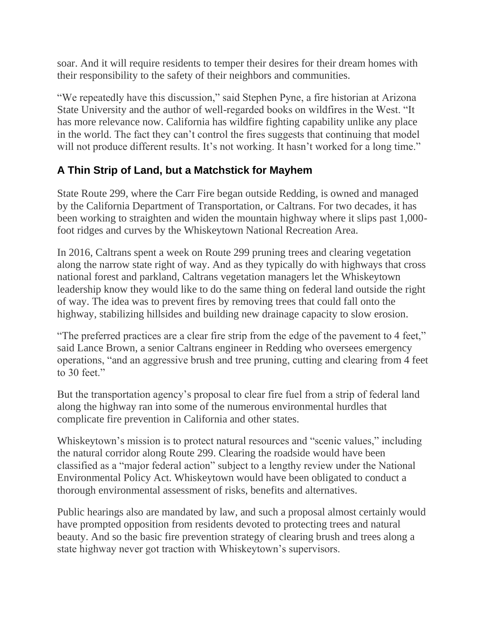soar. And it will require residents to temper their desires for their dream homes with their responsibility to the safety of their neighbors and communities.

"We repeatedly have this discussion," said Stephen Pyne, a fire historian at Arizona State University and the author of well-regarded books on wildfires in the West. "It has more relevance now. California has wildfire fighting capability unlike any place in the world. The fact they can't control the fires suggests that continuing that model will not produce different results. It's not working. It hasn't worked for a long time."

#### **A Thin Strip of Land, but a Matchstick for Mayhem**

State Route 299, where the Carr Fire began outside Redding, is owned and managed by the California Department of Transportation, or Caltrans. For two decades, it has been working to straighten and widen the mountain highway where it slips past 1,000 foot ridges and curves by the Whiskeytown National Recreation Area.

In 2016, Caltrans spent a week on Route 299 pruning trees and clearing vegetation along the narrow state right of way. And as they typically do with highways that cross national forest and parkland, Caltrans vegetation managers let the Whiskeytown leadership know they would like to do the same thing on federal land outside the right of way. The idea was to prevent fires by removing trees that could fall onto the highway, stabilizing hillsides and building new drainage capacity to slow erosion.

"The preferred practices are a clear fire strip from the edge of the pavement to 4 feet," said Lance Brown, a senior Caltrans engineer in Redding who oversees emergency operations, "and an aggressive brush and tree pruning, cutting and clearing from 4 feet to 30 feet."

But the transportation agency's proposal to clear fire fuel from a strip of federal land along the highway ran into some of the numerous environmental hurdles that complicate fire prevention in California and other states.

Whiskeytown's mission is to protect natural resources and "scenic values," including the natural corridor along Route 299. Clearing the roadside would have been classified as a "major federal action" subject to a lengthy review under the National Environmental Policy Act. Whiskeytown would have been obligated to conduct a thorough environmental assessment of risks, benefits and alternatives.

Public hearings also are mandated by law, and such a proposal almost certainly would have prompted opposition from residents devoted to protecting trees and natural beauty. And so the basic fire prevention strategy of clearing brush and trees along a state highway never got traction with Whiskeytown's supervisors.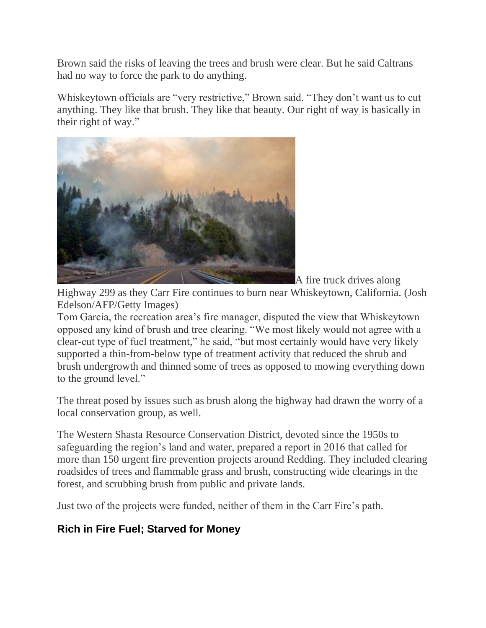Brown said the risks of leaving the trees and brush were clear. But he said Caltrans had no way to force the park to do anything.

Whiskeytown officials are "very restrictive," Brown said. "They don't want us to cut anything. They like that brush. They like that beauty. Our right of way is basically in their right of way."



A fire truck drives along

Highway 299 as they Carr Fire continues to burn near Whiskeytown, California. (Josh Edelson/AFP/Getty Images)

Tom Garcia, the recreation area's fire manager, disputed the view that Whiskeytown opposed any kind of brush and tree clearing. "We most likely would not agree with a clear-cut type of fuel treatment," he said, "but most certainly would have very likely supported a thin-from-below type of treatment activity that reduced the shrub and brush undergrowth and thinned some of trees as opposed to mowing everything down to the ground level."

The threat posed by issues such as brush along the highway had drawn the worry of a local conservation group, as well.

The Western Shasta Resource Conservation District, devoted since the 1950s to safeguarding the region's land and water, prepared a report in 2016 that called for more than 150 urgent fire prevention projects around Redding. They included clearing roadsides of trees and flammable grass and brush, constructing wide clearings in the forest, and scrubbing brush from public and private lands.

Just two of the projects were funded, neither of them in the Carr Fire's path.

### **Rich in Fire Fuel; Starved for Money**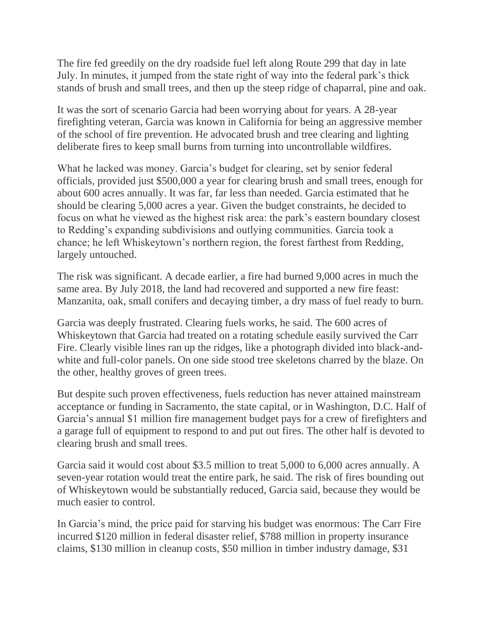The fire fed greedily on the dry roadside fuel left along Route 299 that day in late July. In minutes, it jumped from the state right of way into the federal park's thick stands of brush and small trees, and then up the steep ridge of chaparral, pine and oak.

It was the sort of scenario Garcia had been worrying about for years. A 28-year firefighting veteran, Garcia was known in California for being an aggressive member of the school of fire prevention. He advocated brush and tree clearing and lighting deliberate fires to keep small burns from turning into uncontrollable wildfires.

What he lacked was money. Garcia's budget for clearing, set by senior federal officials, provided just \$500,000 a year for clearing brush and small trees, enough for about 600 acres annually. It was far, far less than needed. Garcia estimated that he should be clearing 5,000 acres a year. Given the budget constraints, he decided to focus on what he viewed as the highest risk area: the park's eastern boundary closest to Redding's expanding subdivisions and outlying communities. Garcia took a chance; he left Whiskeytown's northern region, the forest farthest from Redding, largely untouched.

The risk was significant. A decade earlier, a fire had burned 9,000 acres in much the same area. By July 2018, the land had recovered and supported a new fire feast: Manzanita, oak, small conifers and decaying timber, a dry mass of fuel ready to burn.

Garcia was deeply frustrated. Clearing fuels works, he said. The 600 acres of Whiskeytown that Garcia had treated on a rotating schedule easily survived the Carr Fire. Clearly visible lines ran up the ridges, like a photograph divided into black-andwhite and full-color panels. On one side stood tree skeletons charred by the blaze. On the other, healthy groves of green trees.

But despite such proven effectiveness, fuels reduction has never attained mainstream acceptance or funding in Sacramento, the state capital, or in Washington, D.C. Half of Garcia's annual \$1 million fire management budget pays for a crew of firefighters and a garage full of equipment to respond to and put out fires. The other half is devoted to clearing brush and small trees.

Garcia said it would cost about \$3.5 million to treat 5,000 to 6,000 acres annually. A seven-year rotation would treat the entire park, he said. The risk of fires bounding out of Whiskeytown would be substantially reduced, Garcia said, because they would be much easier to control.

In Garcia's mind, the price paid for starving his budget was enormous: The Carr Fire incurred \$120 million in federal disaster relief, \$788 million in property insurance claims, \$130 million in cleanup costs, \$50 million in timber industry damage, \$31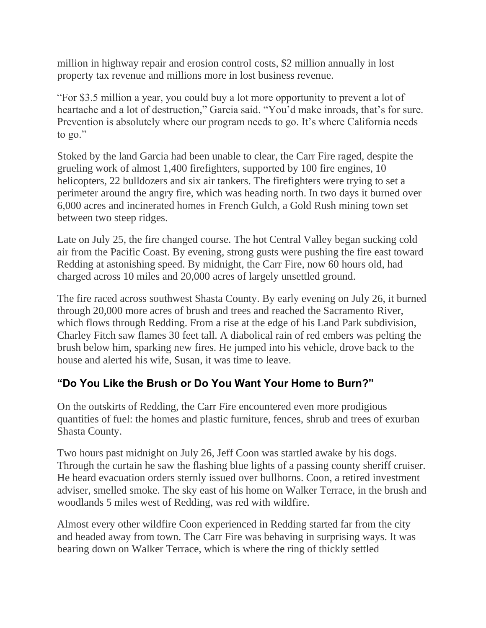million in highway repair and erosion control costs, \$2 million annually in lost property tax revenue and millions more in lost business revenue.

"For \$3.5 million a year, you could buy a lot more opportunity to prevent a lot of heartache and a lot of destruction," Garcia said. "You'd make inroads, that's for sure. Prevention is absolutely where our program needs to go. It's where California needs to go."

Stoked by the land Garcia had been unable to clear, the Carr Fire raged, despite the grueling work of almost 1,400 firefighters, supported by 100 fire engines, 10 helicopters, 22 bulldozers and six air tankers. The firefighters were trying to set a perimeter around the angry fire, which was heading north. In two days it burned over 6,000 acres and incinerated homes in French Gulch, a Gold Rush mining town set between two steep ridges.

Late on July 25, the fire changed course. The hot Central Valley began sucking cold air from the Pacific Coast. By evening, strong gusts were pushing the fire east toward Redding at astonishing speed. By midnight, the Carr Fire, now 60 hours old, had charged across 10 miles and 20,000 acres of largely unsettled ground.

The fire raced across southwest Shasta County. By early evening on July 26, it burned through 20,000 more acres of brush and trees and reached the Sacramento River, which flows through Redding. From a rise at the edge of his Land Park subdivision, Charley Fitch saw flames 30 feet tall. A diabolical rain of red embers was pelting the brush below him, sparking new fires. He jumped into his vehicle, drove back to the house and alerted his wife, Susan, it was time to leave.

#### **"Do You Like the Brush or Do You Want Your Home to Burn?"**

On the outskirts of Redding, the Carr Fire encountered even more prodigious quantities of fuel: the homes and plastic furniture, fences, shrub and trees of exurban Shasta County.

Two hours past midnight on July 26, Jeff Coon was startled awake by his dogs. Through the curtain he saw the flashing blue lights of a passing county sheriff cruiser. He heard evacuation orders sternly issued over bullhorns. Coon, a retired investment adviser, smelled smoke. The sky east of his home on Walker Terrace, in the brush and woodlands 5 miles west of Redding, was red with wildfire.

Almost every other wildfire Coon experienced in Redding started far from the city and headed away from town. The Carr Fire was behaving in surprising ways. It was bearing down on Walker Terrace, which is where the ring of thickly settled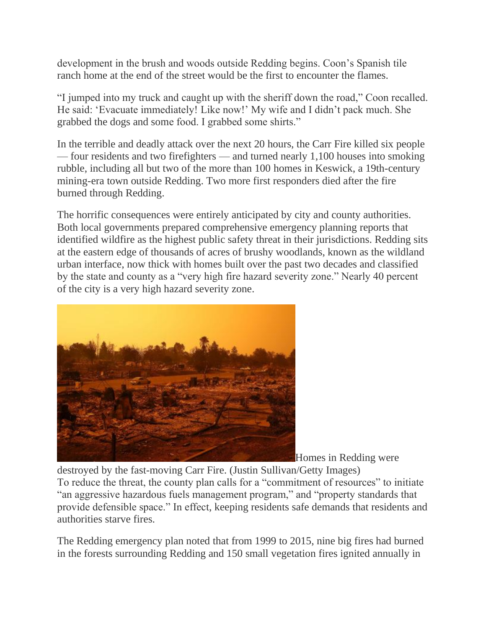development in the brush and woods outside Redding begins. Coon's Spanish tile ranch home at the end of the street would be the first to encounter the flames.

"I jumped into my truck and caught up with the sheriff down the road," Coon recalled. He said: 'Evacuate immediately! Like now!' My wife and I didn't pack much. She grabbed the dogs and some food. I grabbed some shirts."

In the terrible and deadly attack over the next 20 hours, the Carr Fire killed six people — four residents and two firefighters — and turned nearly 1,100 houses into smoking rubble, including all but two of the more than 100 homes in Keswick, a 19th-century mining-era town outside Redding. Two more first responders died after the fire burned through Redding.

The horrific consequences were entirely anticipated by city and county authorities. Both local governments prepared comprehensive emergency planning reports that identified wildfire as the highest public safety threat in their jurisdictions. Redding sits at the eastern edge of thousands of acres of brushy woodlands, known as the wildland urban interface, now thick with homes built over the past two decades and classified by the state and county as a "very high fire hazard severity zone." Nearly 40 percent of the city is a very high hazard severity zone.



Homes in Redding were

destroyed by the fast-moving Carr Fire. (Justin Sullivan/Getty Images) To reduce the threat, the county plan calls for a "commitment of resources" to initiate "an aggressive hazardous fuels management program," and "property standards that provide defensible space." In effect, keeping residents safe demands that residents and authorities starve fires.

The Redding emergency plan noted that from 1999 to 2015, nine big fires had burned in the forests surrounding Redding and 150 small vegetation fires ignited annually in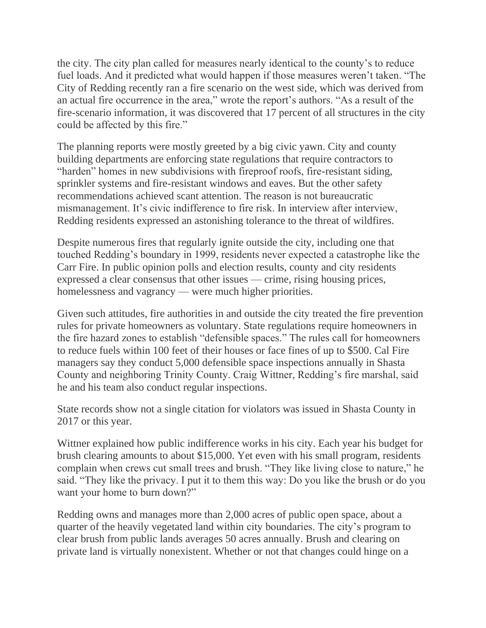the city. The city plan called for measures nearly identical to the county's to reduce fuel loads. And it predicted what would happen if those measures weren't taken. "The City of Redding recently ran a fire scenario on the west side, which was derived from an actual fire occurrence in the area," wrote the report's authors. "As a result of the fire-scenario information, it was discovered that 17 percent of all structures in the city could be affected by this fire."

The planning reports were mostly greeted by a big civic yawn. City and county building departments are enforcing state regulations that require contractors to "harden" homes in new subdivisions with fireproof roofs, fire-resistant siding, sprinkler systems and fire-resistant windows and eaves. But the other safety recommendations achieved scant attention. The reason is not bureaucratic mismanagement. It's civic indifference to fire risk. In interview after interview, Redding residents expressed an astonishing tolerance to the threat of wildfires.

Despite numerous fires that regularly ignite outside the city, including one that touched Redding's boundary in 1999, residents never expected a catastrophe like the Carr Fire. In public opinion polls and election results, county and city residents expressed a clear consensus that other issues — crime, rising housing prices, homelessness and vagrancy — were much higher priorities.

Given such attitudes, fire authorities in and outside the city treated the fire prevention rules for private homeowners as voluntary. State regulations require homeowners in the fire hazard zones to establish "defensible spaces." The rules call for homeowners to reduce fuels within 100 feet of their houses or face fines of up to \$500. Cal Fire managers say they conduct 5,000 defensible space inspections annually in Shasta County and neighboring Trinity County. Craig Wittner, Redding's fire marshal, said he and his team also conduct regular inspections.

State records show not a single citation for violators was issued in Shasta County in 2017 or this year.

Wittner explained how public indifference works in his city. Each year his budget for brush clearing amounts to about \$15,000. Yet even with his small program, residents complain when crews cut small trees and brush. "They like living close to nature," he said. "They like the privacy. I put it to them this way: Do you like the brush or do you want your home to burn down?"

Redding owns and manages more than 2,000 acres of public open space, about a quarter of the heavily vegetated land within city boundaries. The city's program to clear brush from public lands averages 50 acres annually. Brush and clearing on private land is virtually nonexistent. Whether or not that changes could hinge on a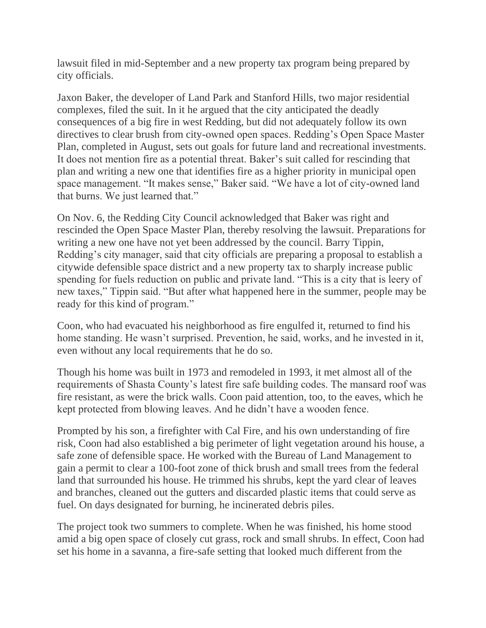lawsuit filed in mid-September and a new property tax program being prepared by city officials.

Jaxon Baker, the developer of Land Park and Stanford Hills, two major residential complexes, filed the suit. In it he argued that the city anticipated the deadly consequences of a big fire in west Redding, but did not adequately follow its own directives to clear brush from city-owned open spaces. Redding's Open Space Master Plan, completed in August, sets out goals for future land and recreational investments. It does not mention fire as a potential threat. Baker's suit called for rescinding that plan and writing a new one that identifies fire as a higher priority in municipal open space management. "It makes sense," Baker said. "We have a lot of city-owned land that burns. We just learned that."

On Nov. 6, the Redding City Council acknowledged that Baker was right and rescinded the Open Space Master Plan, thereby resolving the lawsuit. Preparations for writing a new one have not yet been addressed by the council. Barry Tippin, Redding's city manager, said that city officials are preparing a proposal to establish a citywide defensible space district and a new property tax to sharply increase public spending for fuels reduction on public and private land. "This is a city that is leery of new taxes," Tippin said. "But after what happened here in the summer, people may be ready for this kind of program."

Coon, who had evacuated his neighborhood as fire engulfed it, returned to find his home standing. He wasn't surprised. Prevention, he said, works, and he invested in it, even without any local requirements that he do so.

Though his home was built in 1973 and remodeled in 1993, it met almost all of the requirements of Shasta County's latest fire safe building codes. The mansard roof was fire resistant, as were the brick walls. Coon paid attention, too, to the eaves, which he kept protected from blowing leaves. And he didn't have a wooden fence.

Prompted by his son, a firefighter with Cal Fire, and his own understanding of fire risk, Coon had also established a big perimeter of light vegetation around his house, a safe zone of defensible space. He worked with the Bureau of Land Management to gain a permit to clear a 100-foot zone of thick brush and small trees from the federal land that surrounded his house. He trimmed his shrubs, kept the yard clear of leaves and branches, cleaned out the gutters and discarded plastic items that could serve as fuel. On days designated for burning, he incinerated debris piles.

The project took two summers to complete. When he was finished, his home stood amid a big open space of closely cut grass, rock and small shrubs. In effect, Coon had set his home in a savanna, a fire-safe setting that looked much different from the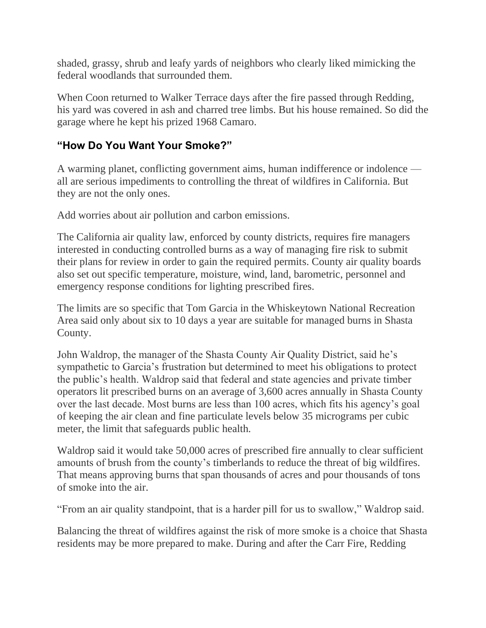shaded, grassy, shrub and leafy yards of neighbors who clearly liked mimicking the federal woodlands that surrounded them.

When Coon returned to Walker Terrace days after the fire passed through Redding, his yard was covered in ash and charred tree limbs. But his house remained. So did the garage where he kept his prized 1968 Camaro.

#### **"How Do You Want Your Smoke?"**

A warming planet, conflicting government aims, human indifference or indolence all are serious impediments to controlling the threat of wildfires in California. But they are not the only ones.

Add worries about air pollution and carbon emissions.

The California air quality law, enforced by county districts, requires fire managers interested in conducting controlled burns as a way of managing fire risk to submit their plans for review in order to gain the required permits. County air quality boards also set out specific temperature, moisture, wind, land, barometric, personnel and emergency response conditions for lighting prescribed fires.

The limits are so specific that Tom Garcia in the Whiskeytown National Recreation Area said only about six to 10 days a year are suitable for managed burns in Shasta County.

John Waldrop, the manager of the Shasta County Air Quality District, said he's sympathetic to Garcia's frustration but determined to meet his obligations to protect the public's health. Waldrop said that federal and state agencies and private timber operators lit prescribed burns on an average of 3,600 acres annually in Shasta County over the last decade. Most burns are less than 100 acres, which fits his agency's goal of keeping the air clean and fine particulate levels below 35 micrograms per cubic meter, the limit that safeguards public health.

Waldrop said it would take 50,000 acres of prescribed fire annually to clear sufficient amounts of brush from the county's timberlands to reduce the threat of big wildfires. That means approving burns that span thousands of acres and pour thousands of tons of smoke into the air.

"From an air quality standpoint, that is a harder pill for us to swallow," Waldrop said.

Balancing the threat of wildfires against the risk of more smoke is a choice that Shasta residents may be more prepared to make. During and after the Carr Fire, Redding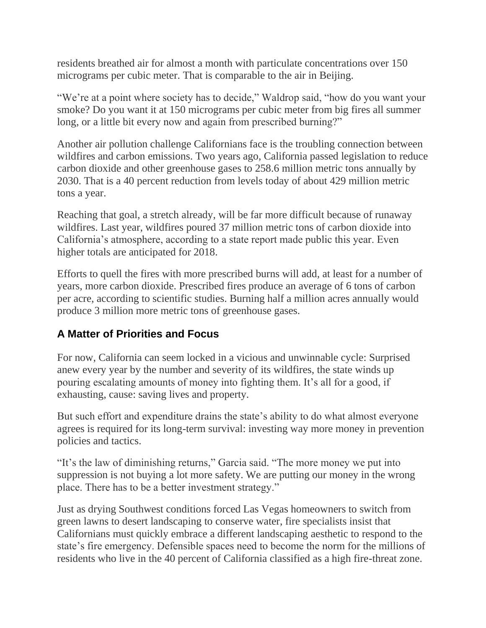residents breathed air for almost a month with particulate concentrations over 150 micrograms per cubic meter. That is comparable to the air in Beijing.

"We're at a point where society has to decide," Waldrop said, "how do you want your smoke? Do you want it at 150 micrograms per cubic meter from big fires all summer long, or a little bit every now and again from prescribed burning?"

Another air pollution challenge Californians face is the troubling connection between wildfires and carbon emissions. Two years ago, California passed legislation to reduce carbon dioxide and other greenhouse gases to 258.6 million metric tons annually by 2030. That is a 40 percent reduction from levels today of about 429 million metric tons a year.

Reaching that goal, a stretch already, will be far more difficult because of runaway wildfires. Last year, wildfires poured 37 million metric tons of carbon dioxide into California's atmosphere, according to a state report made public this year. Even higher totals are anticipated for 2018.

Efforts to quell the fires with more prescribed burns will add, at least for a number of years, more carbon dioxide. Prescribed fires produce an average of 6 tons of carbon per acre, according to scientific studies. Burning half a million acres annually would produce 3 million more metric tons of greenhouse gases.

#### **A Matter of Priorities and Focus**

For now, California can seem locked in a vicious and unwinnable cycle: Surprised anew every year by the number and severity of its wildfires, the state winds up pouring escalating amounts of money into fighting them. It's all for a good, if exhausting, cause: saving lives and property.

But such effort and expenditure drains the state's ability to do what almost everyone agrees is required for its long-term survival: investing way more money in prevention policies and tactics.

"It's the law of diminishing returns," Garcia said. "The more money we put into suppression is not buying a lot more safety. We are putting our money in the wrong place. There has to be a better investment strategy."

Just as drying Southwest conditions forced Las Vegas homeowners to switch from green lawns to desert landscaping to conserve water, fire specialists insist that Californians must quickly embrace a different landscaping aesthetic to respond to the state's fire emergency. Defensible spaces need to become the norm for the millions of residents who live in the 40 percent of California classified as a high fire-threat zone.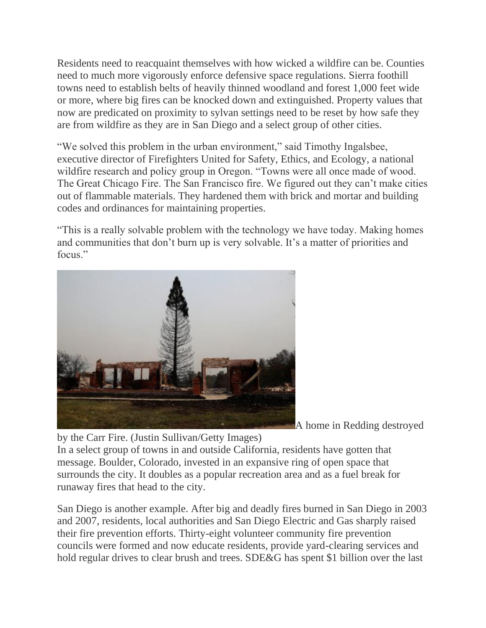Residents need to reacquaint themselves with how wicked a wildfire can be. Counties need to much more vigorously enforce defensive space regulations. Sierra foothill towns need to establish belts of heavily thinned woodland and forest 1,000 feet wide or more, where big fires can be knocked down and extinguished. Property values that now are predicated on proximity to sylvan settings need to be reset by how safe they are from wildfire as they are in San Diego and a select group of other cities.

"We solved this problem in the urban environment," said Timothy Ingalsbee, executive director of Firefighters United for Safety, Ethics, and Ecology, a national wildfire research and policy group in Oregon. "Towns were all once made of wood. The Great Chicago Fire. The San Francisco fire. We figured out they can't make cities out of flammable materials. They hardened them with brick and mortar and building codes and ordinances for maintaining properties.

"This is a really solvable problem with the technology we have today. Making homes and communities that don't burn up is very solvable. It's a matter of priorities and focus."



A home in Redding destroyed

by the Carr Fire. (Justin Sullivan/Getty Images) In a select group of towns in and outside California, residents have gotten that message. Boulder, Colorado, invested in an expansive ring of open space that surrounds the city. It doubles as a popular recreation area and as a fuel break for runaway fires that head to the city.

San Diego is another example. After big and deadly fires burned in San Diego in 2003 and 2007, residents, local authorities and San Diego Electric and Gas sharply raised their fire prevention efforts. Thirty-eight volunteer community fire prevention councils were formed and now educate residents, provide yard-clearing services and hold regular drives to clear brush and trees. SDE&G has spent \$1 billion over the last